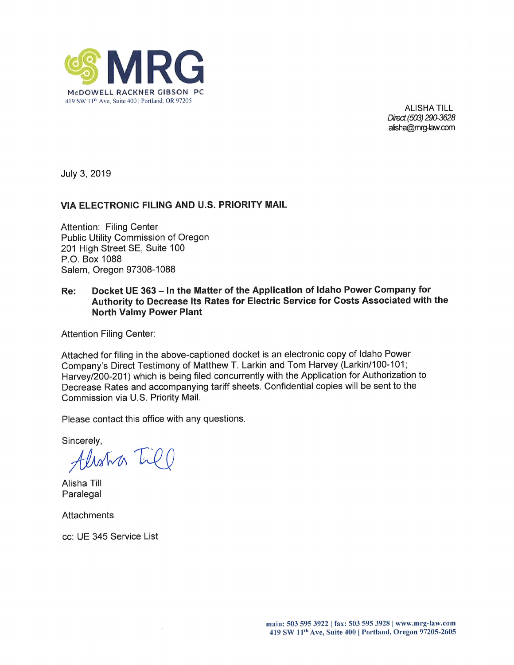

ALISHA TILL Direct (503) 290-3628 alisha@mrg-law.com

July 3, 2019

## VIA ELECTRONIC FILING AND U.S. PRIORITY MAIL

Attention: Filing Center Public Utility Commission of Oregon 201 High Street SE, Suite 100 P.O. Box 1088 Salem, Oregon 97308-1088

#### Re: Docket UE 363 - In the Matter of the Application of Idaho Power Company for Authority to Decrease lts Rates for Electric Service for Gosts Associated with the North Valmy Power Plant

Attention Filing Center:

Attached for filing in the above-captioned docket is an electronic copy of ldaho Power Company's Direct Testimony of Matthew T. Larkin and Tom Harvey (Larkin/100-101; Harvey/200-201) which is being filed concurrently with the Application for Authorization to Decrease Rates and accompanying tariff sheets. Confidential copies will be sent to the Commission via U.S. Priority Mail.

Please contact this office with any questions.

Sincerely,

Alistra In

Alisha Till Paralegal

**Attachments** 

cc: UE 345 Service List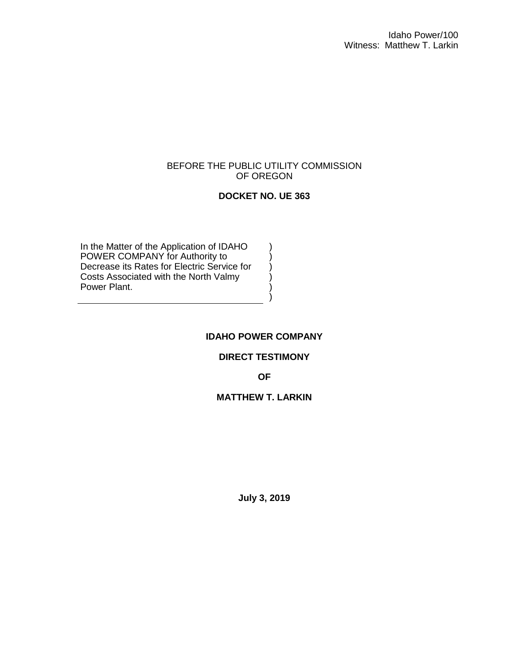#### BEFORE THE PUBLIC UTILITY COMMISSION OF OREGON

### **DOCKET NO. UE 363**

) ) ) ) ) )

In the Matter of the Application of IDAHO POWER COMPANY for Authority to Decrease its Rates for Electric Service for Costs Associated with the North Valmy Power Plant.

#### **IDAHO POWER COMPANY**

#### **DIRECT TESTIMONY**

**OF**

#### **MATTHEW T. LARKIN**

**July 3, 2019**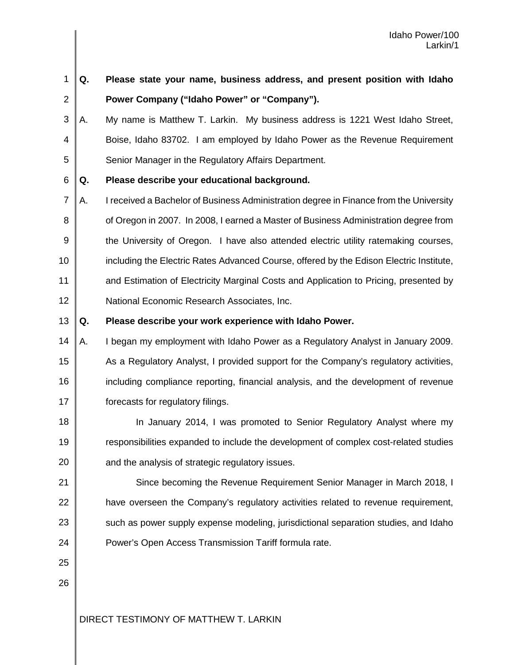| 1              | Q. | Please state your name, business address, and present position with Idaho               |
|----------------|----|-----------------------------------------------------------------------------------------|
| 2              |    | Power Company ("Idaho Power" or "Company").                                             |
| 3              | Α. | My name is Matthew T. Larkin. My business address is 1221 West Idaho Street,            |
| 4              |    | Boise, Idaho 83702. I am employed by Idaho Power as the Revenue Requirement             |
| 5              |    | Senior Manager in the Regulatory Affairs Department.                                    |
| 6              | Q. | Please describe your educational background.                                            |
| $\overline{7}$ | Α. | I received a Bachelor of Business Administration degree in Finance from the University  |
| 8              |    | of Oregon in 2007. In 2008, I earned a Master of Business Administration degree from    |
| 9              |    | the University of Oregon. I have also attended electric utility ratemaking courses,     |
| 10             |    | including the Electric Rates Advanced Course, offered by the Edison Electric Institute, |
| 11             |    | and Estimation of Electricity Marginal Costs and Application to Pricing, presented by   |
| 12             |    | National Economic Research Associates, Inc.                                             |
| 13             | Q. | Please describe your work experience with Idaho Power.                                  |
| 14             | Α. | I began my employment with Idaho Power as a Regulatory Analyst in January 2009.         |
| 15             |    | As a Regulatory Analyst, I provided support for the Company's regulatory activities,    |
| 16             |    | including compliance reporting, financial analysis, and the development of revenue      |
| 17             |    | forecasts for regulatory filings.                                                       |
| 18             |    | In January 2014, I was promoted to Senior Regulatory Analyst where my                   |
| 19             |    | responsibilities expanded to include the development of complex cost-related studies    |
| 20             |    | and the analysis of strategic regulatory issues.                                        |
| 21             |    | Since becoming the Revenue Requirement Senior Manager in March 2018, I                  |
| 22             |    | have overseen the Company's regulatory activities related to revenue requirement,       |
| 23             |    | such as power supply expense modeling, jurisdictional separation studies, and Idaho     |
| 24             |    | Power's Open Access Transmission Tariff formula rate.                                   |
| 25             |    |                                                                                         |
| 26             |    |                                                                                         |
|                |    |                                                                                         |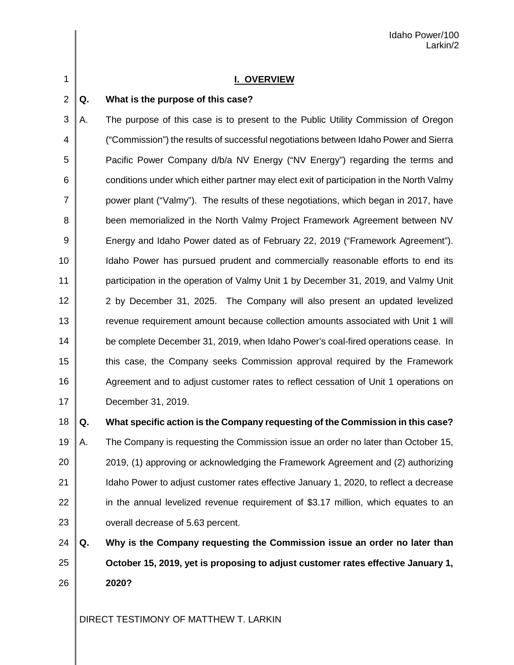1

#### **I. OVERVIEW**

#### 2 **Q. What is the purpose of this case?**

3 4 5 6 7 8 9 10 11 12 13 14 15 16 17 A. The purpose of this case is to present to the Public Utility Commission of Oregon ("Commission") the results of successful negotiations between Idaho Power and Sierra Pacific Power Company d/b/a NV Energy ("NV Energy") regarding the terms and conditions under which either partner may elect exit of participation in the North Valmy power plant ("Valmy"). The results of these negotiations, which began in 2017, have been memorialized in the North Valmy Project Framework Agreement between NV Energy and Idaho Power dated as of February 22, 2019 ("Framework Agreement"). Idaho Power has pursued prudent and commercially reasonable efforts to end its participation in the operation of Valmy Unit 1 by December 31, 2019, and Valmy Unit 2 by December 31, 2025. The Company will also present an updated levelized revenue requirement amount because collection amounts associated with Unit 1 will be complete December 31, 2019, when Idaho Power's coal-fired operations cease. In this case, the Company seeks Commission approval required by the Framework Agreement and to adjust customer rates to reflect cessation of Unit 1 operations on December 31, 2019.

18

#### **Q. What specific action is the Company requesting of the Commission in this case?**

19 20 21 22 23 A. The Company is requesting the Commission issue an order no later than October 15, 2019, (1) approving or acknowledging the Framework Agreement and (2) authorizing Idaho Power to adjust customer rates effective January 1, 2020, to reflect a decrease in the annual levelized revenue requirement of \$3.17 million, which equates to an overall decrease of 5.63 percent.

24 25 26 **Q. Why is the Company requesting the Commission issue an order no later than October 15, 2019, yet is proposing to adjust customer rates effective January 1, 2020?**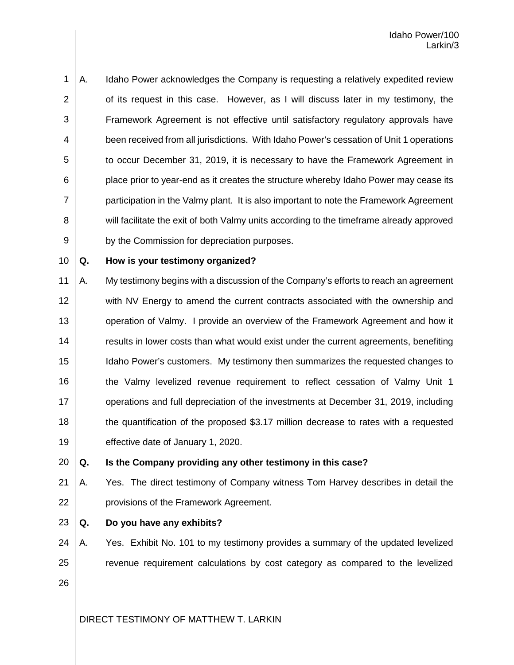1 2 3 4 5 6 7 8 9 A. Idaho Power acknowledges the Company is requesting a relatively expedited review of its request in this case. However, as I will discuss later in my testimony, the Framework Agreement is not effective until satisfactory regulatory approvals have been received from all jurisdictions. With Idaho Power's cessation of Unit 1 operations to occur December 31, 2019, it is necessary to have the Framework Agreement in place prior to year-end as it creates the structure whereby Idaho Power may cease its participation in the Valmy plant. It is also important to note the Framework Agreement will facilitate the exit of both Valmy units according to the timeframe already approved by the Commission for depreciation purposes.

10

#### **Q. How is your testimony organized?**

11 12 13 14 15 16 17 18 19 A. My testimony begins with a discussion of the Company's efforts to reach an agreement with NV Energy to amend the current contracts associated with the ownership and operation of Valmy. I provide an overview of the Framework Agreement and how it results in lower costs than what would exist under the current agreements, benefiting Idaho Power's customers. My testimony then summarizes the requested changes to the Valmy levelized revenue requirement to reflect cessation of Valmy Unit 1 operations and full depreciation of the investments at December 31, 2019, including the quantification of the proposed \$3.17 million decrease to rates with a requested effective date of January 1, 2020.

20

## **Q. Is the Company providing any other testimony in this case?**

21 22 A. Yes. The direct testimony of Company witness Tom Harvey describes in detail the provisions of the Framework Agreement.

23

#### **Q. Do you have any exhibits?**

24 25 26 A. Yes. Exhibit No. 101 to my testimony provides a summary of the updated levelized revenue requirement calculations by cost category as compared to the levelized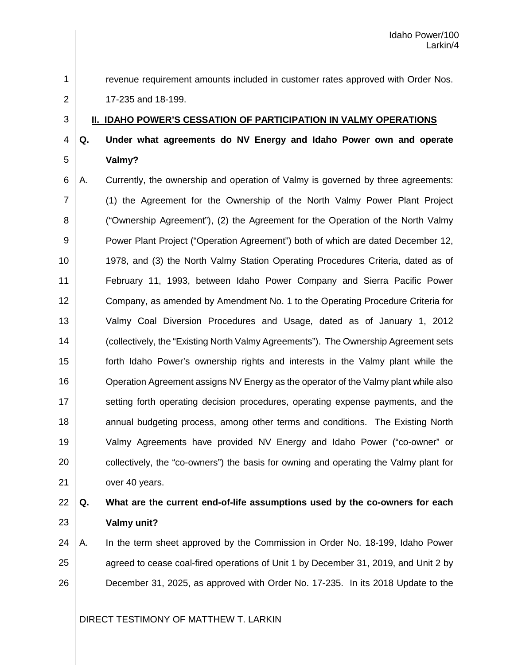1 2

3

revenue requirement amounts included in customer rates approved with Order Nos.

17-235 and 18-199.

## **II. IDAHO POWER'S CESSATION OF PARTICIPATION IN VALMY OPERATIONS**

#### 4 5 **Q. Under what agreements do NV Energy and Idaho Power own and operate Valmy?**

6 7 8 9 10 11 12 13 14 15 16 17 18 19 20 21 A. Currently, the ownership and operation of Valmy is governed by three agreements: (1) the Agreement for the Ownership of the North Valmy Power Plant Project ("Ownership Agreement"), (2) the Agreement for the Operation of the North Valmy Power Plant Project ("Operation Agreement") both of which are dated December 12, 1978, and (3) the North Valmy Station Operating Procedures Criteria, dated as of February 11, 1993, between Idaho Power Company and Sierra Pacific Power Company, as amended by Amendment No. 1 to the Operating Procedure Criteria for Valmy Coal Diversion Procedures and Usage, dated as of January 1, 2012 (collectively, the "Existing North Valmy Agreements"). The Ownership Agreement sets forth Idaho Power's ownership rights and interests in the Valmy plant while the Operation Agreement assigns NV Energy as the operator of the Valmy plant while also setting forth operating decision procedures, operating expense payments, and the annual budgeting process, among other terms and conditions. The Existing North Valmy Agreements have provided NV Energy and Idaho Power ("co-owner" or collectively, the "co-owners") the basis for owning and operating the Valmy plant for over 40 years.

# 22 23

# **Q. What are the current end-of-life assumptions used by the co-owners for each Valmy unit?**

24 25 26 A. In the term sheet approved by the Commission in Order No. 18-199, Idaho Power agreed to cease coal-fired operations of Unit 1 by December 31, 2019, and Unit 2 by December 31, 2025, as approved with Order No. 17-235. In its 2018 Update to the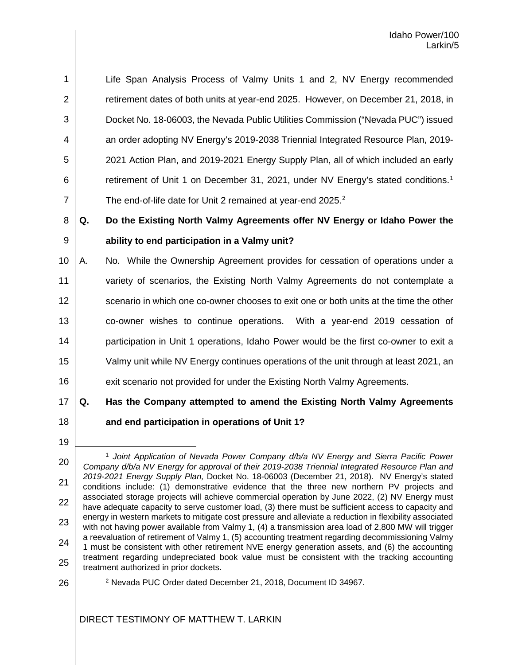8 9 **Q. Do the Existing North Valmy Agreements offer NV Energy or Idaho Power the ability to end participation in a Valmy unit?**

10 11 12 13 14 15 16 A. No. While the Ownership Agreement provides for cessation of operations under a variety of scenarios, the Existing North Valmy Agreements do not contemplate a scenario in which one co-owner chooses to exit one or both units at the time the other co-owner wishes to continue operations. With a year-end 2019 cessation of participation in Unit 1 operations, Idaho Power would be the first co-owner to exit a Valmy unit while NV Energy continues operations of the unit through at least 2021, an exit scenario not provided for under the Existing North Valmy Agreements.

17 18 **Q. Has the Company attempted to amend the Existing North Valmy Agreements and end participation in operations of Unit 1?**

- <span id="page-6-1"></span>26
- <sup>2</sup> Nevada PUC Order dated December 21, 2018, Document ID 34967.

<sup>19</sup>

<span id="page-6-0"></span><sup>20</sup> 21 22 23 24 25 L <sup>1</sup> *Joint Application of Nevada Power Company d/b/a NV Energy and Sierra Pacific Power Company d/b/a NV Energy for approval of their 2019-2038 Triennial Integrated Resource Plan and 2019-2021 Energy Supply Plan,* Docket No. 18-06003 (December 21, 2018). NV Energy's stated conditions include: (1) demonstrative evidence that the three new northern PV projects and associated storage projects will achieve commercial operation by June 2022, (2) NV Energy must have adequate capacity to serve customer load, (3) there must be sufficient access to capacity and energy in western markets to mitigate cost pressure and alleviate a reduction in flexibility associated with not having power available from Valmy 1, (4) a transmission area load of 2,800 MW will trigger a reevaluation of retirement of Valmy 1, (5) accounting treatment regarding decommissioning Valmy 1 must be consistent with other retirement NVE energy generation assets, and (6) the accounting treatment regarding undepreciated book value must be consistent with the tracking accounting treatment authorized in prior dockets.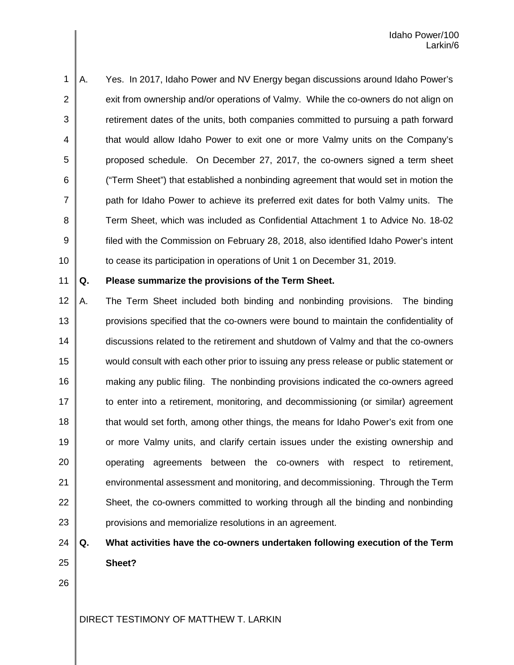1 2 3 4 5 6 7 8 9 10 A. Yes. In 2017, Idaho Power and NV Energy began discussions around Idaho Power's exit from ownership and/or operations of Valmy. While the co-owners do not align on retirement dates of the units, both companies committed to pursuing a path forward that would allow Idaho Power to exit one or more Valmy units on the Company's proposed schedule. On December 27, 2017, the co-owners signed a term sheet ("Term Sheet") that established a nonbinding agreement that would set in motion the path for Idaho Power to achieve its preferred exit dates for both Valmy units. The Term Sheet, which was included as Confidential Attachment 1 to Advice No. 18-02 filed with the Commission on February 28, 2018, also identified Idaho Power's intent to cease its participation in operations of Unit 1 on December 31, 2019.

11

#### **Q. Please summarize the provisions of the Term Sheet.**

12 13 14 15 16 17 18 19 20 21 22 23 A. The Term Sheet included both binding and nonbinding provisions. The binding provisions specified that the co-owners were bound to maintain the confidentiality of discussions related to the retirement and shutdown of Valmy and that the co-owners would consult with each other prior to issuing any press release or public statement or making any public filing. The nonbinding provisions indicated the co-owners agreed to enter into a retirement, monitoring, and decommissioning (or similar) agreement that would set forth, among other things, the means for Idaho Power's exit from one or more Valmy units, and clarify certain issues under the existing ownership and operating agreements between the co-owners with respect to retirement, environmental assessment and monitoring, and decommissioning. Through the Term Sheet, the co-owners committed to working through all the binding and nonbinding provisions and memorialize resolutions in an agreement.

#### 24 25 **Q. What activities have the co-owners undertaken following execution of the Term Sheet?**

26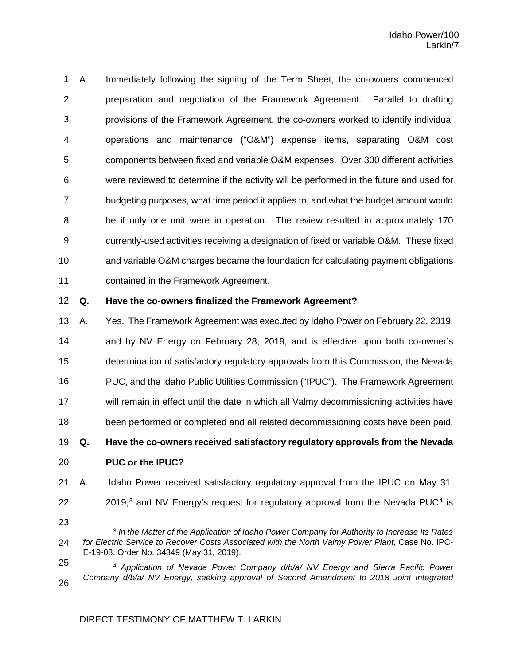1 2 3 4 5 6 7 8 9 10 11 A. Immediately following the signing of the Term Sheet, the co-owners commenced preparation and negotiation of the Framework Agreement. Parallel to drafting provisions of the Framework Agreement, the co-owners worked to identify individual operations and maintenance ("O&M") expense items, separating O&M cost components between fixed and variable O&M expenses. Over 300 different activities were reviewed to determine if the activity will be performed in the future and used for budgeting purposes, what time period it applies to, and what the budget amount would be if only one unit were in operation. The review resulted in approximately 170 currently-used activities receiving a designation of fixed or variable O&M. These fixed and variable O&M charges became the foundation for calculating payment obligations contained in the Framework Agreement.

#### 12 **Q. Have the co-owners finalized the Framework Agreement?**

13 14 15 16 17 18 A. Yes. The Framework Agreement was executed by Idaho Power on February 22, 2019, and by NV Energy on February 28, 2019, and is effective upon both co-owner's determination of satisfactory regulatory approvals from this Commission, the Nevada PUC, and the Idaho Public Utilities Commission ("IPUC"). The Framework Agreement will remain in effect until the date in which all Valmy decommissioning activities have been performed or completed and all related decommissioning costs have been paid.

19 20 **Q. Have the co-owners received satisfactory regulatory approvals from the Nevada PUC or the IPUC?** 

- 21 22 A. Idaho Power received satisfactory regulatory approval from the IPUC on May 31, 2019, $3$  and NV Energy's request for regulatory approval from the Nevada PUC<sup>[4](#page-8-1)</sup> is
- <span id="page-8-0"></span>23 24 L <sup>3</sup> *In the Matter of the Application of Idaho Power Company for Authority to Increase Its Rates for Electric Service to Recover Costs Associated with the North Valmy Power Plant*, Case No. IPC-E-19-08, Order No. 34349 (May 31, 2019).
- <span id="page-8-1"></span>25

26

<sup>4</sup> *Application of Nevada Power Company d/b/a/ NV Energy and Sierra Pacific Power Company d/b/a/ NV Energy, seeking approval of Second Amendment to 2018 Joint Integrated*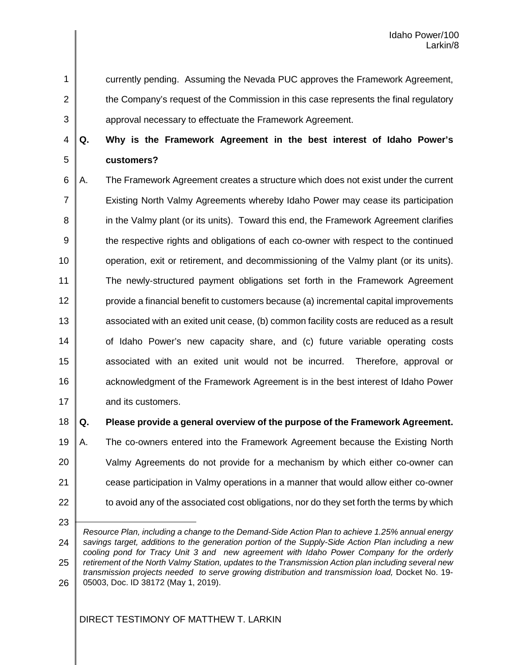1

2

3

currently pending. Assuming the Nevada PUC approves the Framework Agreement, the Company's request of the Commission in this case represents the final regulatory

approval necessary to effectuate the Framework Agreement.

4 5 **Q. Why is the Framework Agreement in the best interest of Idaho Power's customers?**

6 7 8 9 10 11 12 13 14 15 16 17 A. The Framework Agreement creates a structure which does not exist under the current Existing North Valmy Agreements whereby Idaho Power may cease its participation in the Valmy plant (or its units). Toward this end, the Framework Agreement clarifies the respective rights and obligations of each co-owner with respect to the continued operation, exit or retirement, and decommissioning of the Valmy plant (or its units). The newly-structured payment obligations set forth in the Framework Agreement provide a financial benefit to customers because (a) incremental capital improvements associated with an exited unit cease, (b) common facility costs are reduced as a result of Idaho Power's new capacity share, and (c) future variable operating costs associated with an exited unit would not be incurred. Therefore, approval or acknowledgment of the Framework Agreement is in the best interest of Idaho Power and its customers.

18

**Q. Please provide a general overview of the purpose of the Framework Agreement.**

- 19 20 21 22 A. The co-owners entered into the Framework Agreement because the Existing North Valmy Agreements do not provide for a mechanism by which either co-owner can cease participation in Valmy operations in a manner that would allow either co-owner to avoid any of the associated cost obligations, nor do they set forth the terms by which
- 23

L

<sup>24</sup> 25 26 *Resource Plan, including a change to the Demand-Side Action Plan to achieve 1.25% annual energy savings target, additions to the generation portion of the Supply-Side Action Plan including a new cooling pond for Tracy Unit 3 and new agreement with Idaho Power Company for the orderly retirement of the North Valmy Station, updates to the Transmission Action plan including several new transmission projects needed to serve growing distribution and transmission load,* Docket No. 19- 05003, Doc. ID 38172 (May 1, 2019).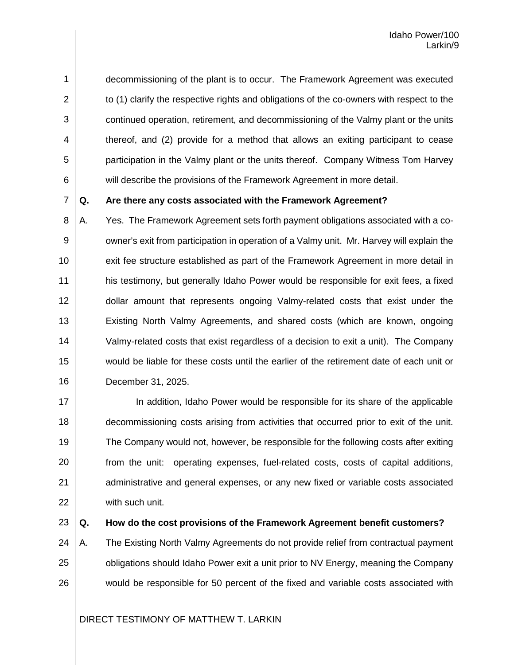1 2 3 4 5 6 decommissioning of the plant is to occur. The Framework Agreement was executed to (1) clarify the respective rights and obligations of the co-owners with respect to the continued operation, retirement, and decommissioning of the Valmy plant or the units thereof, and (2) provide for a method that allows an exiting participant to cease participation in the Valmy plant or the units thereof. Company Witness Tom Harvey will describe the provisions of the Framework Agreement in more detail.

7

#### **Q. Are there any costs associated with the Framework Agreement?**

8 9 10 11 12 13 14 15 16 A. Yes. The Framework Agreement sets forth payment obligations associated with a coowner's exit from participation in operation of a Valmy unit. Mr. Harvey will explain the exit fee structure established as part of the Framework Agreement in more detail in his testimony, but generally Idaho Power would be responsible for exit fees, a fixed dollar amount that represents ongoing Valmy-related costs that exist under the Existing North Valmy Agreements, and shared costs (which are known, ongoing Valmy-related costs that exist regardless of a decision to exit a unit). The Company would be liable for these costs until the earlier of the retirement date of each unit or December 31, 2025.

17 18 19 20 21 22 In addition, Idaho Power would be responsible for its share of the applicable decommissioning costs arising from activities that occurred prior to exit of the unit. The Company would not, however, be responsible for the following costs after exiting from the unit: operating expenses, fuel-related costs, costs of capital additions, administrative and general expenses, or any new fixed or variable costs associated with such unit.

23

#### **Q. How do the cost provisions of the Framework Agreement benefit customers?**

24 25 26 A. The Existing North Valmy Agreements do not provide relief from contractual payment obligations should Idaho Power exit a unit prior to NV Energy, meaning the Company would be responsible for 50 percent of the fixed and variable costs associated with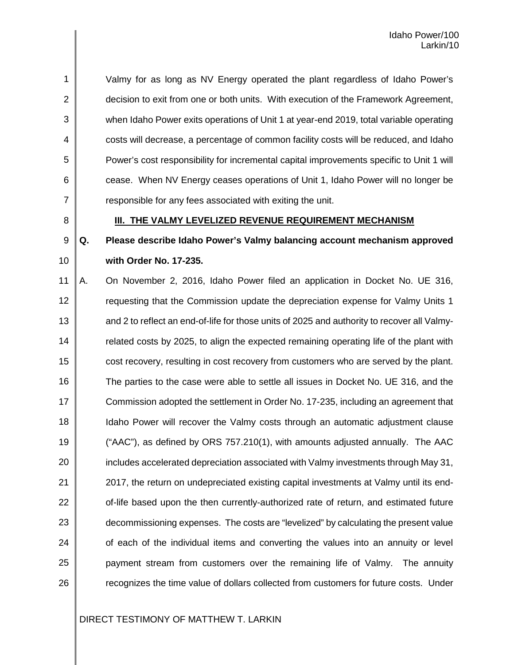1 2 3 4 5 6 7 Valmy for as long as NV Energy operated the plant regardless of Idaho Power's decision to exit from one or both units. With execution of the Framework Agreement, when Idaho Power exits operations of Unit 1 at year-end 2019, total variable operating costs will decrease, a percentage of common facility costs will be reduced, and Idaho Power's cost responsibility for incremental capital improvements specific to Unit 1 will cease. When NV Energy ceases operations of Unit 1, Idaho Power will no longer be responsible for any fees associated with exiting the unit.

8

#### **III. THE VALMY LEVELIZED REVENUE REQUIREMENT MECHANISM**

#### 9 10 **Q. Please describe Idaho Power's Valmy balancing account mechanism approved with Order No. 17-235.**

11 12 13 14 15 16 17 18 19 20 21 22 23 24 25 26 A. On November 2, 2016, Idaho Power filed an application in Docket No. UE 316, requesting that the Commission update the depreciation expense for Valmy Units 1 and 2 to reflect an end-of-life for those units of 2025 and authority to recover all Valmyrelated costs by 2025, to align the expected remaining operating life of the plant with cost recovery, resulting in cost recovery from customers who are served by the plant. The parties to the case were able to settle all issues in Docket No. UE 316, and the Commission adopted the settlement in Order No. 17-235, including an agreement that Idaho Power will recover the Valmy costs through an automatic adjustment clause ("AAC"), as defined by ORS 757.210(1), with amounts adjusted annually. The AAC includes accelerated depreciation associated with Valmy investments through May 31, 2017, the return on undepreciated existing capital investments at Valmy until its endof-life based upon the then currently-authorized rate of return, and estimated future decommissioning expenses. The costs are "levelized" by calculating the present value of each of the individual items and converting the values into an annuity or level payment stream from customers over the remaining life of Valmy. The annuity recognizes the time value of dollars collected from customers for future costs. Under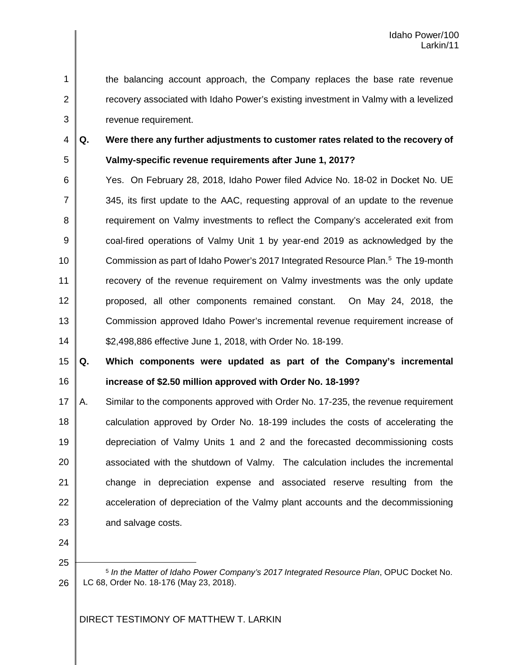the balancing account approach, the Company replaces the base rate revenue recovery associated with Idaho Power's existing investment in Valmy with a levelized revenue requirement.

3 4

5

1

2

# **Q. Were there any further adjustments to customer rates related to the recovery of Valmy-specific revenue requirements after June 1, 2017?**

6 7 8 9 10 11 12 13 14 Yes. On February 28, 2018, Idaho Power filed Advice No. 18-02 in Docket No. UE 345, its first update to the AAC, requesting approval of an update to the revenue requirement on Valmy investments to reflect the Company's accelerated exit from coal-fired operations of Valmy Unit 1 by year-end 2019 as acknowledged by the Commission as part of Idaho Power's 2017 Integrated Resource Plan. [5](#page-12-0) The 19-month recovery of the revenue requirement on Valmy investments was the only update proposed, all other components remained constant. On May 24, 2018, the Commission approved Idaho Power's incremental revenue requirement increase of \$2,498,886 effective June 1, 2018, with Order No. 18-199.

15 16 **Q. Which components were updated as part of the Company's incremental increase of \$2.50 million approved with Order No. 18-199?**

17 18 19 20 21 22 23 A. Similar to the components approved with Order No. 17-235, the revenue requirement calculation approved by Order No. 18-199 includes the costs of accelerating the depreciation of Valmy Units 1 and 2 and the forecasted decommissioning costs associated with the shutdown of Valmy. The calculation includes the incremental change in depreciation expense and associated reserve resulting from the acceleration of depreciation of the Valmy plant accounts and the decommissioning and salvage costs.

24

<span id="page-12-0"></span>25

L

26

<sup>5</sup> *In the Matter of Idaho Power Company's 2017 Integrated Resource Plan*, OPUC Docket No. LC 68, Order No. 18-176 (May 23, 2018).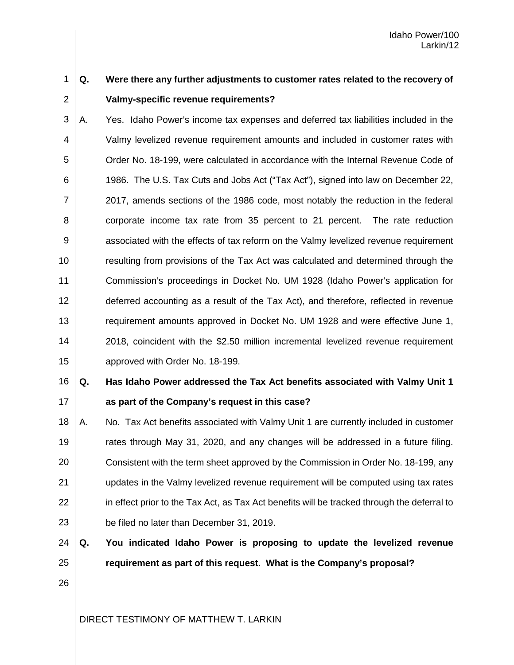#### 1 2 **Q. Were there any further adjustments to customer rates related to the recovery of Valmy-specific revenue requirements?**

3 4 5 6 7 8 9 10 11 12 13 14 15 A. Yes. Idaho Power's income tax expenses and deferred tax liabilities included in the Valmy levelized revenue requirement amounts and included in customer rates with Order No. 18-199, were calculated in accordance with the Internal Revenue Code of 1986. The U.S. Tax Cuts and Jobs Act ("Tax Act"), signed into law on December 22, 2017, amends sections of the 1986 code, most notably the reduction in the federal corporate income tax rate from 35 percent to 21 percent. The rate reduction associated with the effects of tax reform on the Valmy levelized revenue requirement resulting from provisions of the Tax Act was calculated and determined through the Commission's proceedings in Docket No. UM 1928 (Idaho Power's application for deferred accounting as a result of the Tax Act), and therefore, reflected in revenue requirement amounts approved in Docket No. UM 1928 and were effective June 1, 2018, coincident with the \$2.50 million incremental levelized revenue requirement approved with Order No. 18-199.

#### 16 17 **Q. Has Idaho Power addressed the Tax Act benefits associated with Valmy Unit 1 as part of the Company's request in this case?**

18 19 20 21 22 23 A. No. Tax Act benefits associated with Valmy Unit 1 are currently included in customer rates through May 31, 2020, and any changes will be addressed in a future filing. Consistent with the term sheet approved by the Commission in Order No. 18-199, any updates in the Valmy levelized revenue requirement will be computed using tax rates in effect prior to the Tax Act, as Tax Act benefits will be tracked through the deferral to be filed no later than December 31, 2019.

24 25 **Q. You indicated Idaho Power is proposing to update the levelized revenue requirement as part of this request. What is the Company's proposal?**

26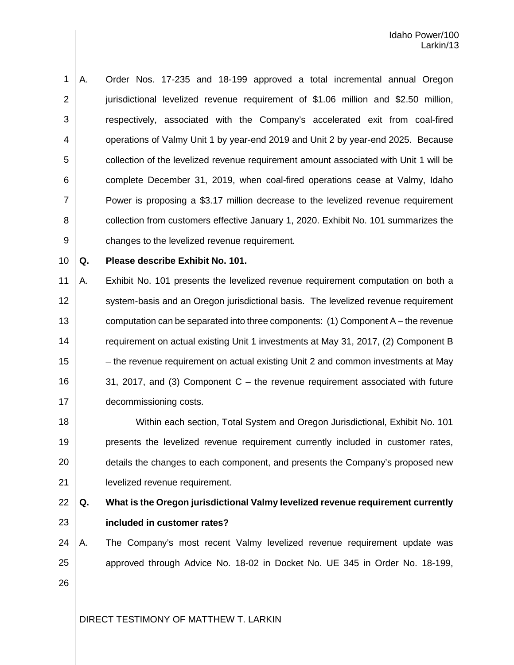1 2 3 4 5 6 7 8 9 A. Order Nos. 17-235 and 18-199 approved a total incremental annual Oregon jurisdictional levelized revenue requirement of \$1.06 million and \$2.50 million, respectively, associated with the Company's accelerated exit from coal-fired operations of Valmy Unit 1 by year-end 2019 and Unit 2 by year-end 2025. Because collection of the levelized revenue requirement amount associated with Unit 1 will be complete December 31, 2019, when coal-fired operations cease at Valmy, Idaho Power is proposing a \$3.17 million decrease to the levelized revenue requirement collection from customers effective January 1, 2020. Exhibit No. 101 summarizes the changes to the levelized revenue requirement.

10

**Q. Please describe Exhibit No. 101.**

11 12 13 14 15 16 17 A. Exhibit No. 101 presents the levelized revenue requirement computation on both a system-basis and an Oregon jurisdictional basis. The levelized revenue requirement computation can be separated into three components: (1) Component A – the revenue requirement on actual existing Unit 1 investments at May 31, 2017, (2) Component B – the revenue requirement on actual existing Unit 2 and common investments at May 31, 2017, and (3) Component C – the revenue requirement associated with future decommissioning costs.

18 19 20 21 Within each section, Total System and Oregon Jurisdictional, Exhibit No. 101 presents the levelized revenue requirement currently included in customer rates, details the changes to each component, and presents the Company's proposed new levelized revenue requirement.

22 23

# **Q. What is the Oregon jurisdictional Valmy levelized revenue requirement currently included in customer rates?**

24 25 26 A. The Company's most recent Valmy levelized revenue requirement update was approved through Advice No. 18-02 in Docket No. UE 345 in Order No. 18-199,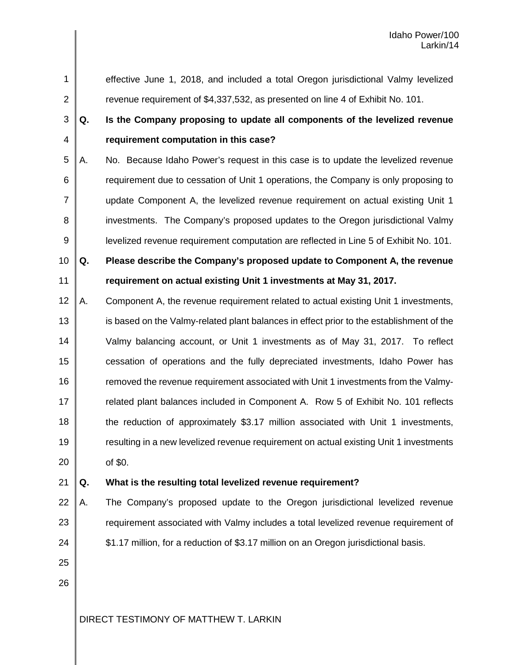1 2 3 4 5 6 7 8 9 10 11 12 13 14 15 16 17 18 19 20 effective June 1, 2018, and included a total Oregon jurisdictional Valmy levelized revenue requirement of \$4,337,532, as presented on line 4 of Exhibit No. 101. **Q. Is the Company proposing to update all components of the levelized revenue requirement computation in this case?** A. No. Because Idaho Power's request in this case is to update the levelized revenue requirement due to cessation of Unit 1 operations, the Company is only proposing to update Component A, the levelized revenue requirement on actual existing Unit 1 investments. The Company's proposed updates to the Oregon jurisdictional Valmy levelized revenue requirement computation are reflected in Line 5 of Exhibit No. 101. **Q. Please describe the Company's proposed update to Component A, the revenue requirement on actual existing Unit 1 investments at May 31, 2017.** A. Component A, the revenue requirement related to actual existing Unit 1 investments, is based on the Valmy-related plant balances in effect prior to the establishment of the Valmy balancing account, or Unit 1 investments as of May 31, 2017. To reflect cessation of operations and the fully depreciated investments, Idaho Power has removed the revenue requirement associated with Unit 1 investments from the Valmyrelated plant balances included in Component A. Row 5 of Exhibit No. 101 reflects the reduction of approximately \$3.17 million associated with Unit 1 investments, resulting in a new levelized revenue requirement on actual existing Unit 1 investments of \$0.

#### 21 **Q. What is the resulting total levelized revenue requirement?**

- 22 23 24 A. The Company's proposed update to the Oregon jurisdictional levelized revenue requirement associated with Valmy includes a total levelized revenue requirement of \$1.17 million, for a reduction of \$3.17 million on an Oregon jurisdictional basis.
- 25 26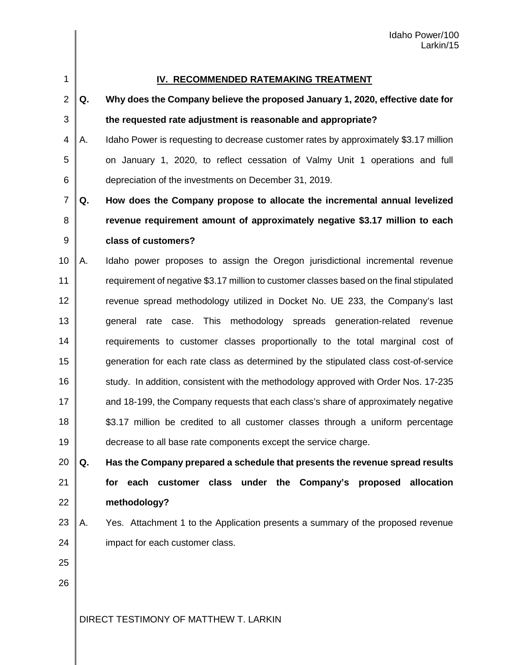#### **IV. RECOMMENDED RATEMAKING TREATMENT**

| ۰.<br>۰. |  |
|----------|--|

1

#### 3 **Q. Why does the Company believe the proposed January 1, 2020, effective date for the requested rate adjustment is reasonable and appropriate?**

4 5 6 A. Idaho Power is requesting to decrease customer rates by approximately \$3.17 million on January 1, 2020, to reflect cessation of Valmy Unit 1 operations and full depreciation of the investments on December 31, 2019.

7 8 9 **Q. How does the Company propose to allocate the incremental annual levelized revenue requirement amount of approximately negative \$3.17 million to each class of customers?**

10 11 12 13 14 15 16 17 18 19 A. Idaho power proposes to assign the Oregon jurisdictional incremental revenue requirement of negative \$3.17 million to customer classes based on the final stipulated revenue spread methodology utilized in Docket No. UE 233, the Company's last general rate case. This methodology spreads generation-related revenue requirements to customer classes proportionally to the total marginal cost of generation for each rate class as determined by the stipulated class cost-of-service study. In addition, consistent with the methodology approved with Order Nos. 17-235 and 18-199, the Company requests that each class's share of approximately negative \$3.17 million be credited to all customer classes through a uniform percentage decrease to all base rate components except the service charge.

20 21 22 **Q. Has the Company prepared a schedule that presents the revenue spread results for each customer class under the Company's proposed allocation methodology?**

23 24 A. Yes. Attachment 1 to the Application presents a summary of the proposed revenue impact for each customer class.

26

25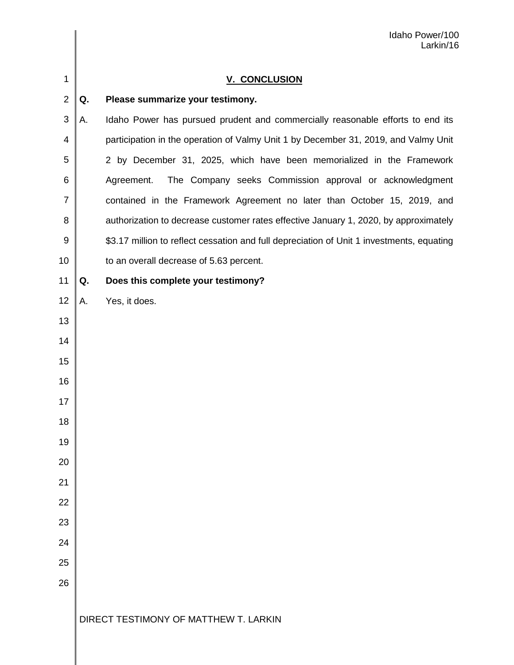| 1              |    | <b>V. CONCLUSION</b>                                                                      |
|----------------|----|-------------------------------------------------------------------------------------------|
| $\overline{2}$ | Q. | Please summarize your testimony.                                                          |
| 3              | Α. | Idaho Power has pursued prudent and commercially reasonable efforts to end its            |
| 4              |    | participation in the operation of Valmy Unit 1 by December 31, 2019, and Valmy Unit       |
| 5              |    | 2 by December 31, 2025, which have been memorialized in the Framework                     |
| 6              |    | The Company seeks Commission approval or acknowledgment<br>Agreement.                     |
| $\overline{7}$ |    | contained in the Framework Agreement no later than October 15, 2019, and                  |
| 8              |    | authorization to decrease customer rates effective January 1, 2020, by approximately      |
| 9              |    | \$3.17 million to reflect cessation and full depreciation of Unit 1 investments, equating |
| 10             |    | to an overall decrease of 5.63 percent.                                                   |
| 11             | Q. | Does this complete your testimony?                                                        |
| 12             | А. | Yes, it does.                                                                             |
| 13             |    |                                                                                           |
| 14             |    |                                                                                           |
| 15             |    |                                                                                           |
| 16             |    |                                                                                           |
| 17             |    |                                                                                           |
| 18             |    |                                                                                           |
| 19             |    |                                                                                           |
| 20             |    |                                                                                           |
| 21             |    |                                                                                           |
| 22             |    |                                                                                           |
| 23             |    |                                                                                           |
| 24             |    |                                                                                           |
| 25             |    |                                                                                           |
| 26             |    |                                                                                           |
|                |    |                                                                                           |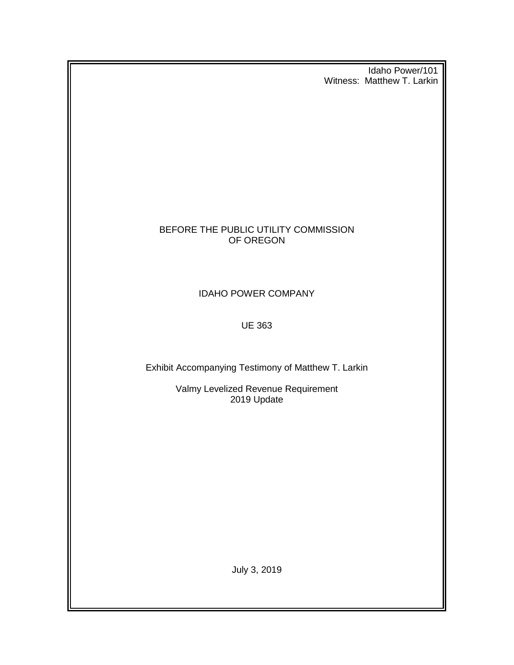Idaho Power/101 Witness: Matthew T. Larkin

## BEFORE THE PUBLIC UTILITY COMMISSION OF OREGON

## IDAHO POWER COMPANY

## UE 363

Exhibit Accompanying Testimony of Matthew T. Larkin

Valmy Levelized Revenue Requirement 2019 Update

July 3, 2019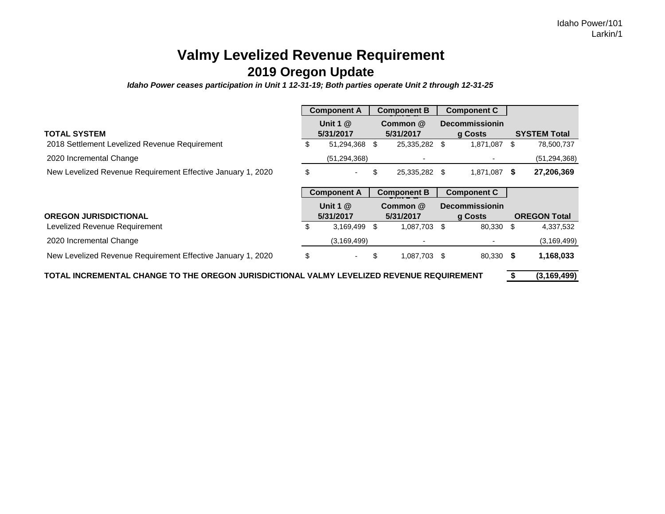# **Valmy Levelized Revenue Requirement 2019 Oregon Update**

*Idaho Power ceases participation in Unit 1 12-31-19; Both parties operate Unit 2 through 12-31-25*

|                                                                                           |    | <b>Component A</b>       |    | <b>Component B</b>    |     | <b>Component C</b>               |      |                     |
|-------------------------------------------------------------------------------------------|----|--------------------------|----|-----------------------|-----|----------------------------------|------|---------------------|
| <b>TOTAL SYSTEM</b>                                                                       |    | Unit 1 $@$<br>5/31/2017  |    | Common @<br>5/31/2017 |     | <b>Decommissionin</b><br>g Costs |      | <b>SYSTEM Total</b> |
| 2018 Settlement Levelized Revenue Requirement                                             |    | 51,294,368               | \$ | 25,335,282 \$         |     | 1,871,087                        | \$   | 78,500,737          |
| 2020 Incremental Change                                                                   |    | (51, 294, 368)           |    |                       |     |                                  |      | (51, 294, 368)      |
| New Levelized Revenue Requirement Effective January 1, 2020                               | \$ | ٠                        | \$ | 25,335,282 \$         |     | 1,871,087                        | - 56 | 27,206,369          |
|                                                                                           |    | <b>Component A</b>       |    | <b>Component B</b>    |     | <b>Component C</b>               |      |                     |
|                                                                                           |    | Unit 1 $@$               |    | Common @              |     | <b>Decommissionin</b>            |      |                     |
| <b>OREGON JURISDICTIONAL</b>                                                              |    | 5/31/2017                |    | 5/31/2017             |     | g Costs                          |      | <b>OREGON Total</b> |
| Levelized Revenue Requirement                                                             | S. | 3,169,499                | S  | 1,087,703             | -SS | 80,330                           | \$   | 4,337,532           |
| 2020 Incremental Change                                                                   |    | (3, 169, 499)            |    |                       |     |                                  |      | (3, 169, 499)       |
| New Levelized Revenue Requirement Effective January 1, 2020                               | \$ | $\overline{\phantom{a}}$ | \$ | 1,087,703 \$          |     | 80,330                           | - \$ | 1,168,033           |
| TOTAL INCREMENTAL CHANGE TO THE OREGON JURISDICTIONAL VALMY LEVELIZED REVENUE REQUIREMENT |    |                          |    |                       |     |                                  |      | (3, 169, 499)       |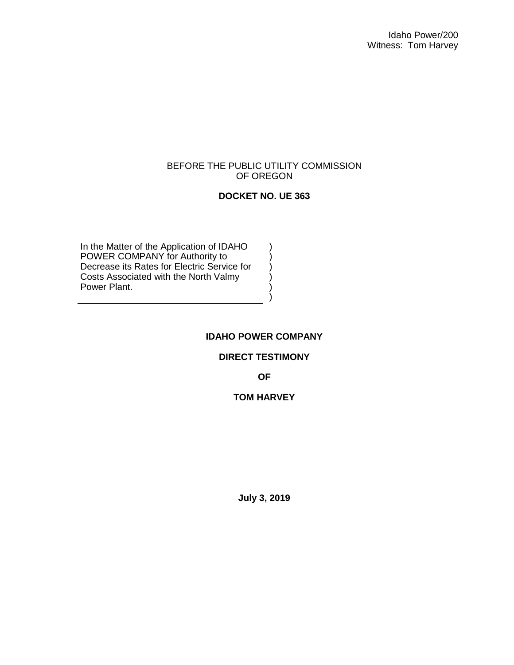#### BEFORE THE PUBLIC UTILITY COMMISSION OF OREGON

## **DOCKET NO. UE 363**

) ) ) ) ) )

In the Matter of the Application of IDAHO POWER COMPANY for Authority to Decrease its Rates for Electric Service for Costs Associated with the North Valmy Power Plant.

#### **IDAHO POWER COMPANY**

#### **DIRECT TESTIMONY**

**OF**

### **TOM HARVEY**

**July 3, 2019**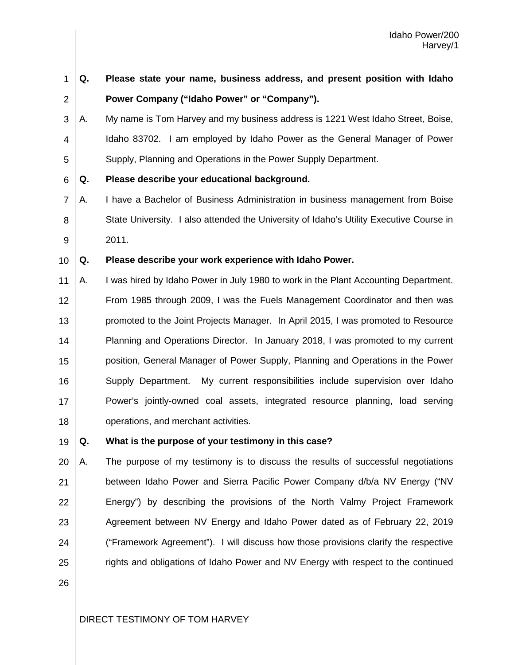1 2 3 4 5 6 7 8 9 10 11 12 13 14 15 16 17 18 **Q. Please state your name, business address, and present position with Idaho Power Company ("Idaho Power" or "Company").** A. My name is Tom Harvey and my business address is 1221 West Idaho Street, Boise, Idaho 83702. I am employed by Idaho Power as the General Manager of Power Supply, Planning and Operations in the Power Supply Department. **Q. Please describe your educational background.** A. I have a Bachelor of Business Administration in business management from Boise State University. I also attended the University of Idaho's Utility Executive Course in 2011. **Q. Please describe your work experience with Idaho Power.** A. I was hired by Idaho Power in July 1980 to work in the Plant Accounting Department. From 1985 through 2009, I was the Fuels Management Coordinator and then was promoted to the Joint Projects Manager. In April 2015, I was promoted to Resource Planning and Operations Director. In January 2018, I was promoted to my current position, General Manager of Power Supply, Planning and Operations in the Power Supply Department. My current responsibilities include supervision over Idaho Power's jointly-owned coal assets, integrated resource planning, load serving operations, and merchant activities.

#### 19 **Q. What is the purpose of your testimony in this case?**

20 21 22 23 24 25 A. The purpose of my testimony is to discuss the results of successful negotiations between Idaho Power and Sierra Pacific Power Company d/b/a NV Energy ("NV Energy") by describing the provisions of the North Valmy Project Framework Agreement between NV Energy and Idaho Power dated as of February 22, 2019 ("Framework Agreement"). I will discuss how those provisions clarify the respective rights and obligations of Idaho Power and NV Energy with respect to the continued

26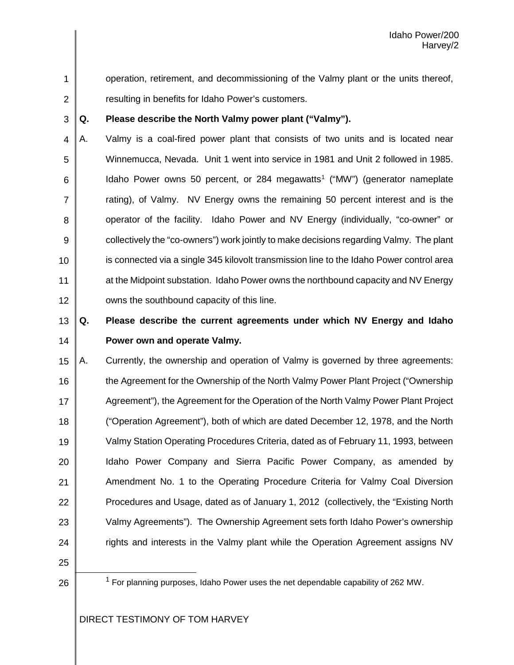operation, retirement, and decommissioning of the Valmy plant or the units thereof, resulting in benefits for Idaho Power's customers.

#### 3 **Q. Please describe the North Valmy power plant ("Valmy").**

4 5 6 7 8 9 10 11 12 A. Valmy is a coal-fired power plant that consists of two units and is located near Winnemucca, Nevada. Unit 1 went into service in 1981 and Unit 2 followed in 1985. Idaho Power owns 50 percent, or 284 megawatts<sup>[1](#page-22-0)</sup> ("MW") (generator nameplate rating), of Valmy. NV Energy owns the remaining 50 percent interest and is the operator of the facility. Idaho Power and NV Energy (individually, "co-owner" or collectively the "co-owners") work jointly to make decisions regarding Valmy. The plant is connected via a single 345 kilovolt transmission line to the Idaho Power control area at the Midpoint substation. Idaho Power owns the northbound capacity and NV Energy owns the southbound capacity of this line.

#### 13 14 **Q. Please describe the current agreements under which NV Energy and Idaho Power own and operate Valmy.**

15 16 17 18 19 20 21 22 23 24 A. Currently, the ownership and operation of Valmy is governed by three agreements: the Agreement for the Ownership of the North Valmy Power Plant Project ("Ownership Agreement"), the Agreement for the Operation of the North Valmy Power Plant Project ("Operation Agreement"), both of which are dated December 12, 1978, and the North Valmy Station Operating Procedures Criteria, dated as of February 11, 1993, between Idaho Power Company and Sierra Pacific Power Company, as amended by Amendment No. 1 to the Operating Procedure Criteria for Valmy Coal Diversion Procedures and Usage, dated as of January 1, 2012 (collectively, the "Existing North Valmy Agreements"). The Ownership Agreement sets forth Idaho Power's ownership rights and interests in the Valmy plant while the Operation Agreement assigns NV

<span id="page-22-0"></span>25 26

1

2

<sup>&</sup>lt;sup>1</sup> For planning purposes, Idaho Power uses the net dependable capability of 262 MW.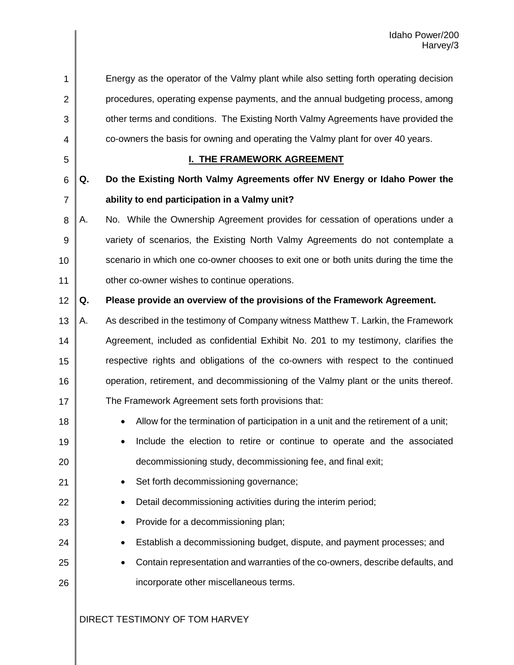| 1              |    | Energy as the operator of the Valmy plant while also setting forth operating decision   |
|----------------|----|-----------------------------------------------------------------------------------------|
| $\overline{2}$ |    | procedures, operating expense payments, and the annual budgeting process, among         |
| 3              |    | other terms and conditions. The Existing North Valmy Agreements have provided the       |
| 4              |    | co-owners the basis for owning and operating the Valmy plant for over 40 years.         |
| 5              |    | <b>I. THE FRAMEWORK AGREEMENT</b>                                                       |
| 6              | Q. | Do the Existing North Valmy Agreements offer NV Energy or Idaho Power the               |
| $\overline{7}$ |    | ability to end participation in a Valmy unit?                                           |
| 8              | Α. | No. While the Ownership Agreement provides for cessation of operations under a          |
| 9              |    | variety of scenarios, the Existing North Valmy Agreements do not contemplate a          |
| 10             |    | scenario in which one co-owner chooses to exit one or both units during the time the    |
| 11             |    | other co-owner wishes to continue operations.                                           |
| 12             | Q. | Please provide an overview of the provisions of the Framework Agreement.                |
| 13             | А. | As described in the testimony of Company witness Matthew T. Larkin, the Framework       |
| 14             |    | Agreement, included as confidential Exhibit No. 201 to my testimony, clarifies the      |
| 15             |    | respective rights and obligations of the co-owners with respect to the continued        |
| 16             |    | operation, retirement, and decommissioning of the Valmy plant or the units thereof.     |
| 17             |    | The Framework Agreement sets forth provisions that:                                     |
| 18             |    | Allow for the termination of participation in a unit and the retirement of a unit;<br>٠ |
| 19             |    | Include the election to retire or continue to operate and the associated<br>٠           |
| 20             |    | decommissioning study, decommissioning fee, and final exit;                             |
| 21             |    | Set forth decommissioning governance;                                                   |
| 22             |    | Detail decommissioning activities during the interim period;                            |
| 23             |    | Provide for a decommissioning plan;                                                     |
| 24             |    | Establish a decommissioning budget, dispute, and payment processes; and                 |
| 25             |    | Contain representation and warranties of the co-owners, describe defaults, and          |
| 26             |    | incorporate other miscellaneous terms.                                                  |
|                |    |                                                                                         |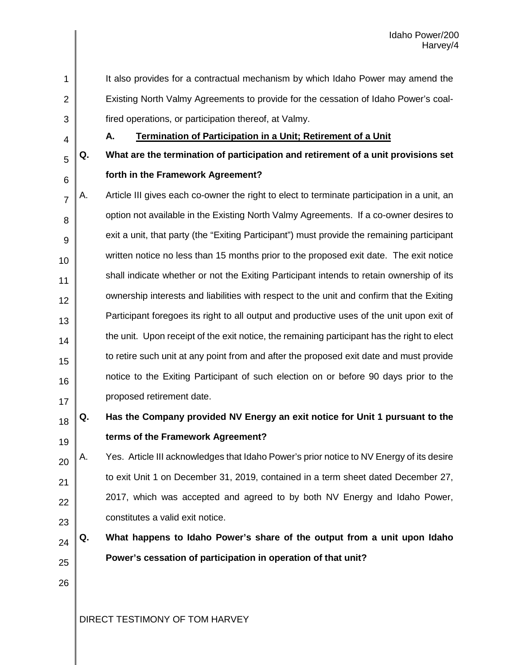- It also provides for a contractual mechanism by which Idaho Power may amend the Existing North Valmy Agreements to provide for the cessation of Idaho Power's coalfired operations, or participation thereof, at Valmy.
- 4

5

6

1

2

3

## **A. Termination of Participation in a Unit; Retirement of a Unit**

- **Q. What are the termination of participation and retirement of a unit provisions set forth in the Framework Agreement?**
- 7 8 9 10 11 12 13 14 15 16 17 A. Article III gives each co-owner the right to elect to terminate participation in a unit, an option not available in the Existing North Valmy Agreements. If a co-owner desires to exit a unit, that party (the "Exiting Participant") must provide the remaining participant written notice no less than 15 months prior to the proposed exit date. The exit notice shall indicate whether or not the Exiting Participant intends to retain ownership of its ownership interests and liabilities with respect to the unit and confirm that the Exiting Participant foregoes its right to all output and productive uses of the unit upon exit of the unit. Upon receipt of the exit notice, the remaining participant has the right to elect to retire such unit at any point from and after the proposed exit date and must provide notice to the Exiting Participant of such election on or before 90 days prior to the proposed retirement date.

#### 18 19 **Q. Has the Company provided NV Energy an exit notice for Unit 1 pursuant to the terms of the Framework Agreement?**

20 21 22 23 A. Yes. Article III acknowledges that Idaho Power's prior notice to NV Energy of its desire to exit Unit 1 on December 31, 2019, contained in a term sheet dated December 27, 2017, which was accepted and agreed to by both NV Energy and Idaho Power, constitutes a valid exit notice.

- 24 25 **Q. What happens to Idaho Power's share of the output from a unit upon Idaho Power's cessation of participation in operation of that unit?**
- 26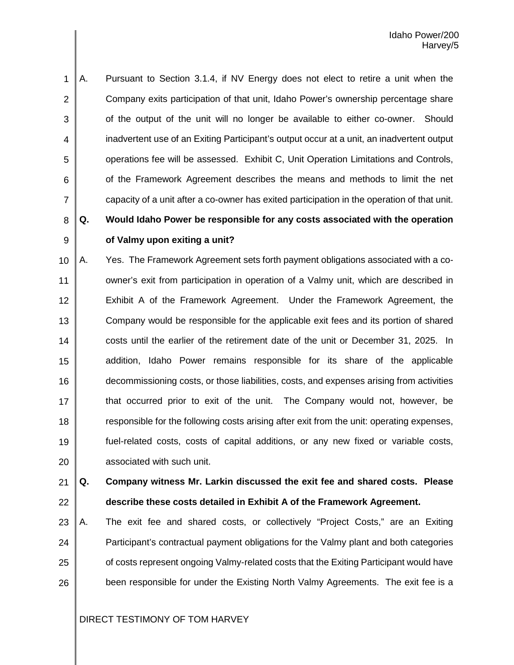1 2 3 4 5 6 7 A. Pursuant to Section 3.1.4, if NV Energy does not elect to retire a unit when the Company exits participation of that unit, Idaho Power's ownership percentage share of the output of the unit will no longer be available to either co-owner. Should inadvertent use of an Exiting Participant's output occur at a unit, an inadvertent output operations fee will be assessed. Exhibit C, Unit Operation Limitations and Controls, of the Framework Agreement describes the means and methods to limit the net capacity of a unit after a co-owner has exited participation in the operation of that unit.

**Q. Would Idaho Power be responsible for any costs associated with the operation** 

# 8 9

## **of Valmy upon exiting a unit?**

10 11 12 13 14 15 16 17 18 19 20 A. Yes. The Framework Agreement sets forth payment obligations associated with a coowner's exit from participation in operation of a Valmy unit, which are described in Exhibit A of the Framework Agreement. Under the Framework Agreement, the Company would be responsible for the applicable exit fees and its portion of shared costs until the earlier of the retirement date of the unit or December 31, 2025. In addition, Idaho Power remains responsible for its share of the applicable decommissioning costs, or those liabilities, costs, and expenses arising from activities that occurred prior to exit of the unit. The Company would not, however, be responsible for the following costs arising after exit from the unit: operating expenses, fuel-related costs, costs of capital additions, or any new fixed or variable costs, associated with such unit.

21 22 **Q. Company witness Mr. Larkin discussed the exit fee and shared costs. Please describe these costs detailed in Exhibit A of the Framework Agreement.**

23 24 25 26 A. The exit fee and shared costs, or collectively "Project Costs," are an Exiting Participant's contractual payment obligations for the Valmy plant and both categories of costs represent ongoing Valmy-related costs that the Exiting Participant would have been responsible for under the Existing North Valmy Agreements. The exit fee is a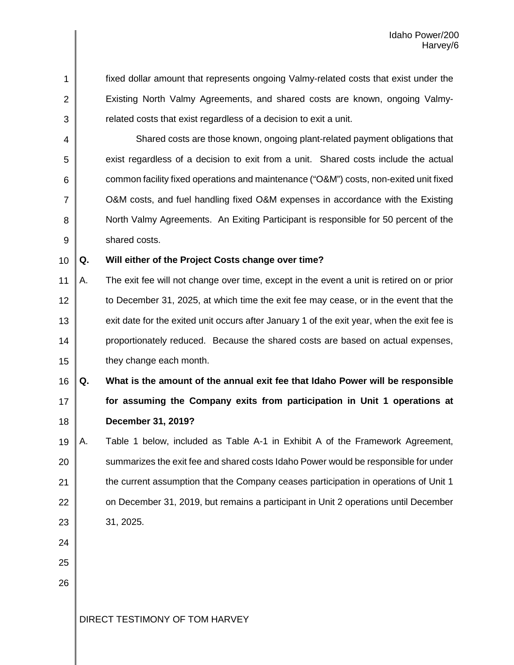1 2 3 fixed dollar amount that represents ongoing Valmy-related costs that exist under the Existing North Valmy Agreements, and shared costs are known, ongoing Valmyrelated costs that exist regardless of a decision to exit a unit.

4 5 6 7 8 9 Shared costs are those known, ongoing plant-related payment obligations that exist regardless of a decision to exit from a unit. Shared costs include the actual common facility fixed operations and maintenance ("O&M") costs, non-exited unit fixed O&M costs, and fuel handling fixed O&M expenses in accordance with the Existing North Valmy Agreements. An Exiting Participant is responsible for 50 percent of the shared costs.

10

#### **Q. Will either of the Project Costs change over time?**

11 12 13 14 15 A. The exit fee will not change over time, except in the event a unit is retired on or prior to December 31, 2025, at which time the exit fee may cease, or in the event that the exit date for the exited unit occurs after January 1 of the exit year, when the exit fee is proportionately reduced. Because the shared costs are based on actual expenses, they change each month.

16 17 18 **Q. What is the amount of the annual exit fee that Idaho Power will be responsible for assuming the Company exits from participation in Unit 1 operations at December 31, 2019?**

- 19 20 21 22 23 A. Table 1 below, included as Table A-1 in Exhibit A of the Framework Agreement, summarizes the exit fee and shared costs Idaho Power would be responsible for under the current assumption that the Company ceases participation in operations of Unit 1 on December 31, 2019, but remains a participant in Unit 2 operations until December 31, 2025.
- 24
- 25
- 26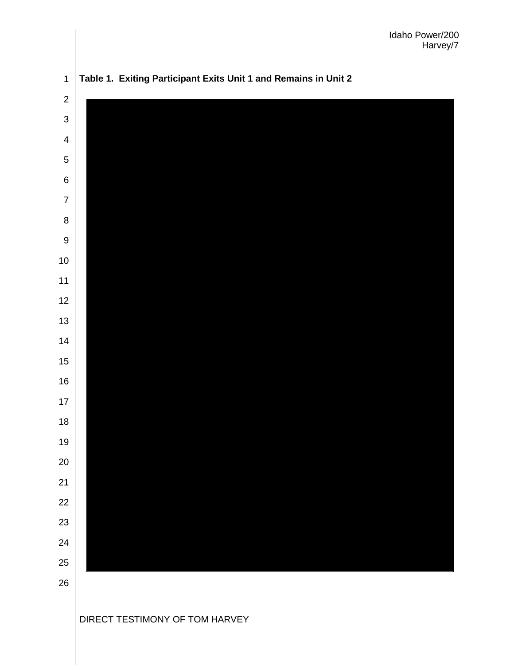

**Table 1. Exiting Participant Exits Unit 1 and Remains in Unit 2**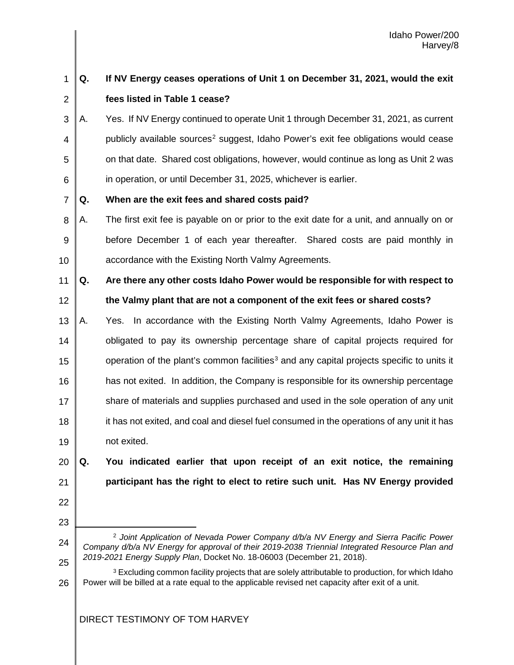#### 1 2 **Q. If NV Energy ceases operations of Unit 1 on December 31, 2021, would the exit fees listed in Table 1 cease?**

3 4 5 6 A. Yes. If NV Energy continued to operate Unit 1 through December 31, 2021, as current publicly available sources<sup>[2](#page-28-0)</sup> suggest, Idaho Power's exit fee obligations would cease on that date. Shared cost obligations, however, would continue as long as Unit 2 was in operation, or until December 31, 2025, whichever is earlier.

7 **Q. When are the exit fees and shared costs paid?**

8 9 10 A. The first exit fee is payable on or prior to the exit date for a unit, and annually on or before December 1 of each year thereafter. Shared costs are paid monthly in accordance with the Existing North Valmy Agreements.

11 12 **Q. Are there any other costs Idaho Power would be responsible for with respect to the Valmy plant that are not a component of the exit fees or shared costs?**

13 14 15 16 17 18 19 A. Yes. In accordance with the Existing North Valmy Agreements, Idaho Power is obligated to pay its ownership percentage share of capital projects required for operation of the plant's common facilities<sup>[3](#page-28-1)</sup> and any capital projects specific to units it has not exited. In addition, the Company is responsible for its ownership percentage share of materials and supplies purchased and used in the sole operation of any unit it has not exited, and coal and diesel fuel consumed in the operations of any unit it has not exited.

20 21 **Q. You indicated earlier that upon receipt of an exit notice, the remaining participant has the right to elect to retire such unit. Has NV Energy provided** 

- 22
- 23

L

<span id="page-28-1"></span>26 <sup>3</sup> Excluding common facility projects that are solely attributable to production, for which Idaho Power will be billed at a rate equal to the applicable revised net capacity after exit of a unit.

<span id="page-28-0"></span><sup>24</sup> 25 <sup>2</sup> *Joint Application of Nevada Power Company d/b/a NV Energy and Sierra Pacific Power Company d/b/a NV Energy for approval of their 2019-2038 Triennial Integrated Resource Plan and 2019-2021 Energy Supply Plan*, Docket No. 18-06003 (December 21, 2018).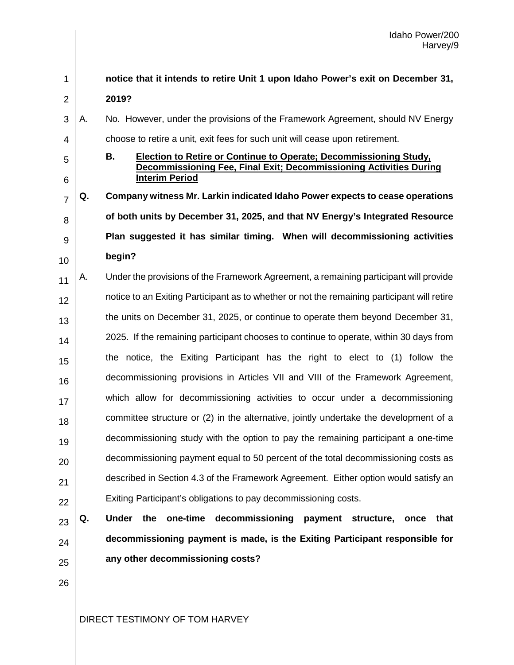#### 1 2 3 4 5 6 7 8 9 10 11 12 13 14 15 16 17 18 19 20 21 22 23 24 25 26 **notice that it intends to retire Unit 1 upon Idaho Power's exit on December 31, 2019?** A. No. However, under the provisions of the Framework Agreement, should NV Energy choose to retire a unit, exit fees for such unit will cease upon retirement. **B. Election to Retire or Continue to Operate; Decommissioning Study, Decommissioning Fee, Final Exit; Decommissioning Activities During Interim Period Q. Company witness Mr. Larkin indicated Idaho Power expects to cease operations of both units by December 31, 2025, and that NV Energy's Integrated Resource Plan suggested it has similar timing. When will decommissioning activities begin?** A. Under the provisions of the Framework Agreement, a remaining participant will provide notice to an Exiting Participant as to whether or not the remaining participant will retire the units on December 31, 2025, or continue to operate them beyond December 31, 2025. If the remaining participant chooses to continue to operate, within 30 days from the notice, the Exiting Participant has the right to elect to (1) follow the decommissioning provisions in Articles VII and VIII of the Framework Agreement, which allow for decommissioning activities to occur under a decommissioning committee structure or (2) in the alternative, jointly undertake the development of a decommissioning study with the option to pay the remaining participant a one-time decommissioning payment equal to 50 percent of the total decommissioning costs as described in Section 4.3 of the Framework Agreement. Either option would satisfy an Exiting Participant's obligations to pay decommissioning costs. **Q. Under the one-time decommissioning payment structure, once that decommissioning payment is made, is the Exiting Participant responsible for any other decommissioning costs?**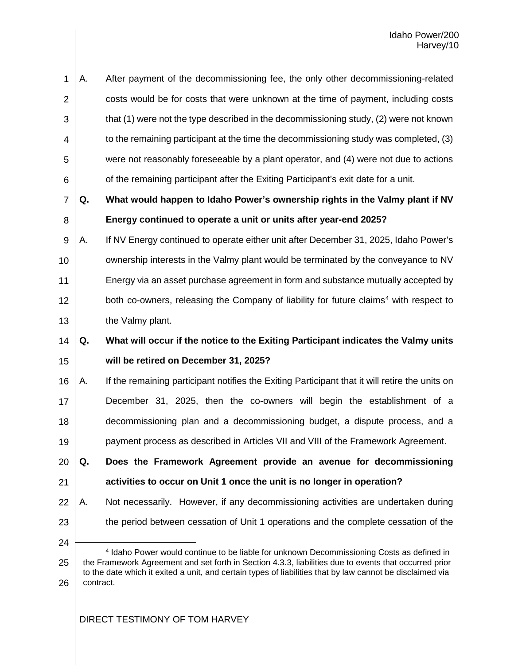| 1              | А. | After payment of the decommissioning fee, the only other decommissioning-related                                                                                                                                                                                                                                |
|----------------|----|-----------------------------------------------------------------------------------------------------------------------------------------------------------------------------------------------------------------------------------------------------------------------------------------------------------------|
| 2              |    | costs would be for costs that were unknown at the time of payment, including costs                                                                                                                                                                                                                              |
| 3              |    | that (1) were not the type described in the decommissioning study, (2) were not known                                                                                                                                                                                                                           |
| 4              |    | to the remaining participant at the time the decommissioning study was completed, (3)                                                                                                                                                                                                                           |
| 5              |    | were not reasonably foreseeable by a plant operator, and (4) were not due to actions                                                                                                                                                                                                                            |
| 6              |    | of the remaining participant after the Exiting Participant's exit date for a unit.                                                                                                                                                                                                                              |
| $\overline{7}$ | Q. | What would happen to Idaho Power's ownership rights in the Valmy plant if NV                                                                                                                                                                                                                                    |
| 8              |    | Energy continued to operate a unit or units after year-end 2025?                                                                                                                                                                                                                                                |
| 9              | А. | If NV Energy continued to operate either unit after December 31, 2025, Idaho Power's                                                                                                                                                                                                                            |
| 10             |    | ownership interests in the Valmy plant would be terminated by the conveyance to NV                                                                                                                                                                                                                              |
| 11             |    | Energy via an asset purchase agreement in form and substance mutually accepted by                                                                                                                                                                                                                               |
| 12             |    | both co-owners, releasing the Company of liability for future claims <sup>4</sup> with respect to                                                                                                                                                                                                               |
| 13             |    | the Valmy plant.                                                                                                                                                                                                                                                                                                |
|                |    |                                                                                                                                                                                                                                                                                                                 |
| 14             | Q. | What will occur if the notice to the Exiting Participant indicates the Valmy units                                                                                                                                                                                                                              |
| 15             |    | will be retired on December 31, 2025?                                                                                                                                                                                                                                                                           |
| 16             | А. | If the remaining participant notifies the Exiting Participant that it will retire the units on                                                                                                                                                                                                                  |
| 17             |    | December 31, 2025, then the co-owners will begin the establishment of a                                                                                                                                                                                                                                         |
| 18             |    | decommissioning plan and a decommissioning budget, a dispute process, and a                                                                                                                                                                                                                                     |
| 19             |    | payment process as described in Articles VII and VIII of the Framework Agreement.                                                                                                                                                                                                                               |
| 20             | Q. | Does the Framework Agreement provide an avenue for decommissioning                                                                                                                                                                                                                                              |
| 21             |    | activities to occur on Unit 1 once the unit is no longer in operation?                                                                                                                                                                                                                                          |
| 22             | А. | Not necessarily. However, if any decommissioning activities are undertaken during                                                                                                                                                                                                                               |
| 23             |    | the period between cessation of Unit 1 operations and the complete cessation of the                                                                                                                                                                                                                             |
| 24             |    |                                                                                                                                                                                                                                                                                                                 |
| 25             |    | 4 Idaho Power would continue to be liable for unknown Decommissioning Costs as defined in<br>the Framework Agreement and set forth in Section 4.3.3, liabilities due to events that occurred prior<br>to the date which it exited a unit, and certain types of liabilities that by law cannot be disclaimed via |

<span id="page-30-0"></span>26 contract.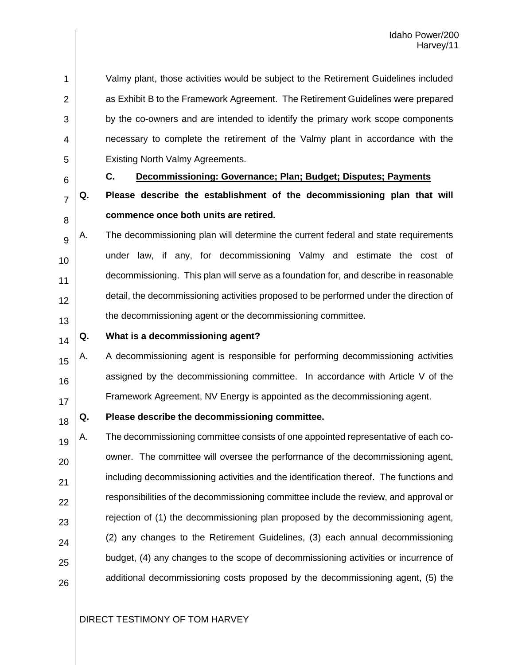1 2 3 4 5 Valmy plant, those activities would be subject to the Retirement Guidelines included as Exhibit B to the Framework Agreement. The Retirement Guidelines were prepared by the co-owners and are intended to identify the primary work scope components necessary to complete the retirement of the Valmy plant in accordance with the Existing North Valmy Agreements.

6

7

## **C. Decommissioning: Governance; Plan; Budget; Disputes; Payments**

- 8 **Q. Please describe the establishment of the decommissioning plan that will commence once both units are retired.**
- 9 10 11 12 13 A. The decommissioning plan will determine the current federal and state requirements under law, if any, for decommissioning Valmy and estimate the cost of decommissioning. This plan will serve as a foundation for, and describe in reasonable detail, the decommissioning activities proposed to be performed under the direction of the decommissioning agent or the decommissioning committee.
- 14

#### **Q. What is a decommissioning agent?**

15 16 17 A. A decommissioning agent is responsible for performing decommissioning activities assigned by the decommissioning committee. In accordance with Article V of the Framework Agreement, NV Energy is appointed as the decommissioning agent.

18

#### **Q. Please describe the decommissioning committee.**

19 20 21 22 23 24 25 26 A. The decommissioning committee consists of one appointed representative of each coowner. The committee will oversee the performance of the decommissioning agent, including decommissioning activities and the identification thereof. The functions and responsibilities of the decommissioning committee include the review, and approval or rejection of (1) the decommissioning plan proposed by the decommissioning agent, (2) any changes to the Retirement Guidelines, (3) each annual decommissioning budget, (4) any changes to the scope of decommissioning activities or incurrence of additional decommissioning costs proposed by the decommissioning agent, (5) the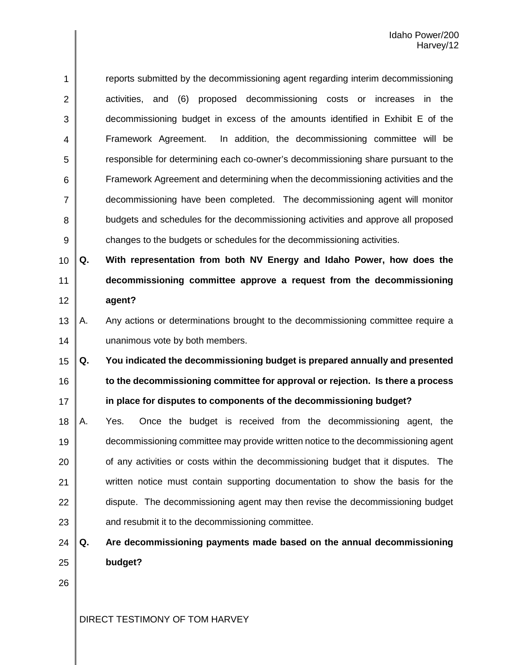1 2 3 4 5 6 7 8 9 reports submitted by the decommissioning agent regarding interim decommissioning activities, and (6) proposed decommissioning costs or increases in the decommissioning budget in excess of the amounts identified in Exhibit E of the Framework Agreement. In addition, the decommissioning committee will be responsible for determining each co-owner's decommissioning share pursuant to the Framework Agreement and determining when the decommissioning activities and the decommissioning have been completed. The decommissioning agent will monitor budgets and schedules for the decommissioning activities and approve all proposed changes to the budgets or schedules for the decommissioning activities.

10 11 12 **Q. With representation from both NV Energy and Idaho Power, how does the decommissioning committee approve a request from the decommissioning agent?**

13 14 A. Any actions or determinations brought to the decommissioning committee require a unanimous vote by both members.

15 16 17 **Q. You indicated the decommissioning budget is prepared annually and presented to the decommissioning committee for approval or rejection. Is there a process in place for disputes to components of the decommissioning budget?**

- 18 19 20 21 22 23 A. Yes. Once the budget is received from the decommissioning agent, the decommissioning committee may provide written notice to the decommissioning agent of any activities or costs within the decommissioning budget that it disputes. The written notice must contain supporting documentation to show the basis for the dispute. The decommissioning agent may then revise the decommissioning budget and resubmit it to the decommissioning committee.
- 24 25 **Q. Are decommissioning payments made based on the annual decommissioning budget?**
- 26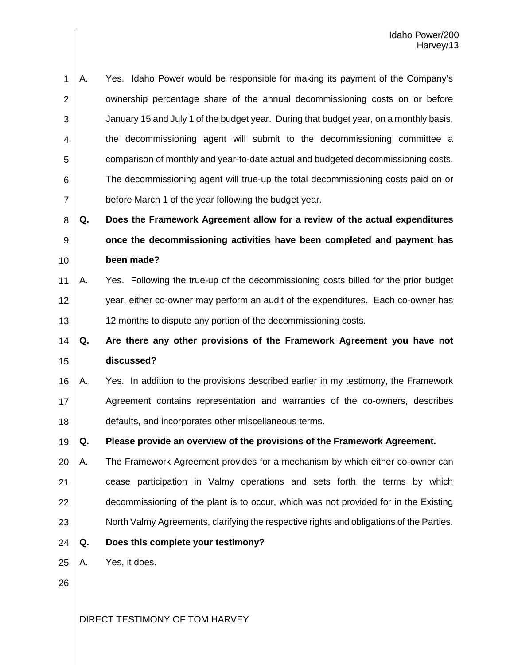1 2 3 4 5 6 7 A. Yes. Idaho Power would be responsible for making its payment of the Company's ownership percentage share of the annual decommissioning costs on or before January 15 and July 1 of the budget year. During that budget year, on a monthly basis, the decommissioning agent will submit to the decommissioning committee a comparison of monthly and year-to-date actual and budgeted decommissioning costs. The decommissioning agent will true-up the total decommissioning costs paid on or before March 1 of the year following the budget year.

8 9 10 **Q. Does the Framework Agreement allow for a review of the actual expenditures once the decommissioning activities have been completed and payment has been made?**

11 12 13 A. Yes. Following the true-up of the decommissioning costs billed for the prior budget year, either co-owner may perform an audit of the expenditures. Each co-owner has 12 months to dispute any portion of the decommissioning costs.

14 15 **Q. Are there any other provisions of the Framework Agreement you have not discussed?**

16 17 18 A. Yes. In addition to the provisions described earlier in my testimony, the Framework Agreement contains representation and warranties of the co-owners, describes defaults, and incorporates other miscellaneous terms.

19 **Q. Please provide an overview of the provisions of the Framework Agreement.**

- 20 21 22 23 A. The Framework Agreement provides for a mechanism by which either co-owner can cease participation in Valmy operations and sets forth the terms by which decommissioning of the plant is to occur, which was not provided for in the Existing North Valmy Agreements, clarifying the respective rights and obligations of the Parties.
- 24 **Q. Does this complete your testimony?**
- 25 A. Yes, it does.
- 26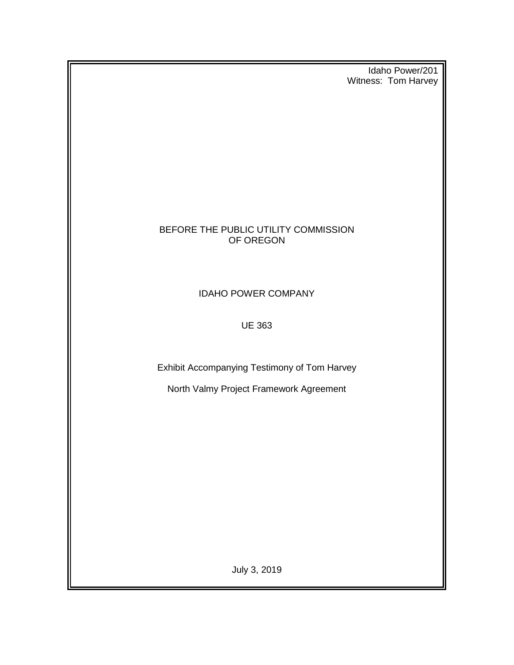Idaho Power/201 Witness: Tom Harvey

## BEFORE THE PUBLIC UTILITY COMMISSION OF OREGON

IDAHO POWER COMPANY

UE 363

Exhibit Accompanying Testimony of Tom Harvey

North Valmy Project Framework Agreement

July 3, 2019